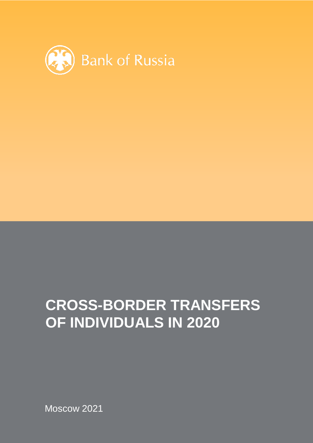

## **CROSS-BORDER TRANSFERS OF INDIVIDUALS IN 2020**

Moscow 2021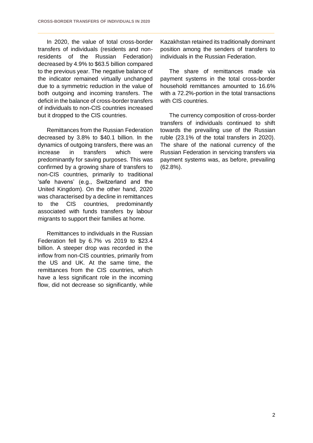In 2020, the value of total cross-border transfers of individuals (residents and nonresidents of the Russian Federation) decreased by 4.9% to \$63.5 billion compared to the previous year. The negative balance of the indicator remained virtually unchanged due to a symmetric reduction in the value of both outgoing and incoming transfers. The deficit in the balance of cross-border transfers of individuals to non-CIS countries increased but it dropped to the CIS countries.

Remittances from the Russian Federation decreased by 3.8% to \$40.1 billion. In the dynamics of outgoing transfers, there was an increase in transfers which were predominantly for saving purposes. This was confirmed by a growing share of transfers to non-CIS countries, primarily to traditional 'safe havens' (e.g., Switzerland and the United Kingdom). On the other hand, 2020 was characterised by a decline in remittances to the CIS countries, predominantly associated with funds transfers by labour migrants to support their families at home.

Remittances to individuals in the Russian Federation fell by 6.7% vs 2019 to \$23.4 billion. A steeper drop was recorded in the inflow from non-CIS countries, primarily from the US and UK. At the same time, the remittances from the CIS countries, which have a less significant role in the incoming flow, did not decrease so significantly, while

Kazakhstan retained its traditionally dominant position among the senders of transfers to individuals in the Russian Federation.

The share of remittances made via payment systems in the total cross-border household remittances amounted to 16.6% with a 72.2%-portion in the total transactions with CIS countries.

The currency composition of cross-border transfers of individuals continued to shift towards the prevailing use of the Russian ruble (23.1% of the total transfers in 2020). The share of the national currency of the Russian Federation in servicing transfers via payment systems was, as before, prevailing (62.8%).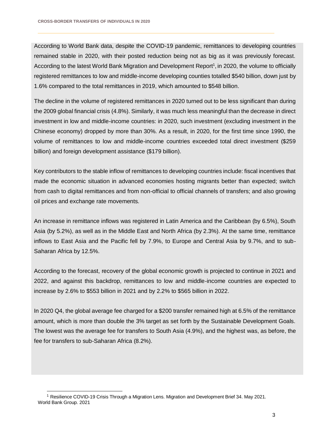According to World Bank data, despite the COVID-19 pandemic, remittances to developing countries remained stable in 2020, with their posted reduction being not as big as it was previously forecast. According to the latest World Bank Migration and Development Report<sup>1</sup>, in 2020, the volume to officially registered remittances to low and middle-income developing counties totalled \$540 billion, down just by 1.6% compared to the total remittances in 2019, which amounted to \$548 billion.

The decline in the volume of registered remittances in 2020 turned out to be less significant than during the 2009 global financial crisis (4.8%). Similarly, it was much less meaningful than the decrease in direct investment in low and middle-income countries: in 2020, such investment (excluding investment in the Chinese economy) dropped by more than 30%. As a result, in 2020, for the first time since 1990, the volume of remittances to low and middle-income countries exceeded total direct investment (\$259 billion) and foreign development assistance (\$179 billion).

Key contributors to the stable inflow of remittances to developing countries include: fiscal incentives that made the economic situation in advanced economies hosting migrants better than expected; switch from cash to digital remittances and from non-official to official channels of transfers; and also growing oil prices and exchange rate movements.

An increase in remittance inflows was registered in Latin America and the Caribbean (by 6.5%), South Asia (by 5.2%), as well as in the Middle East and North Africa (by 2.3%). At the same time, remittance inflows to East Asia and the Pacific fell by 7.9%, to Europe and Central Asia by 9.7%, and to sub-Saharan Africa by 12.5%.

According to the forecast, recovery of the global economic growth is projected to continue in 2021 and 2022, and against this backdrop, remittances to low and middle-income countries are expected to increase by 2.6% to \$553 billion in 2021 and by 2.2% to \$565 billion in 2022.

In 2020 Q4, the global average fee charged for a \$200 transfer remained high at 6.5% of the remittance amount, which is more than double the 3% target as set forth by the Sustainable Development Goals. The lowest was the average fee for transfers to South Asia (4.9%), and the highest was, as before, the fee for transfers to sub-Saharan Africa (8.2%).

l <sup>1</sup> Resilience COVID-19 Crisis Through a Migration Lens. Migration and Development Brief 34. May 2021. World Bank Group. 2021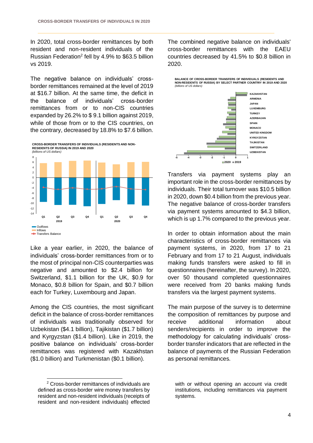In 2020, total cross-border remittances by both resident and non-resident individuals of the Russian Federation<sup>2</sup> fell by 4.9% to \$63.5 billion vs 2019.

The negative balance on individuals' crossborder remittances remained at the level of 2019 at \$16.7 billion. At the same time, the deficit in the balance of individuals' cross-border remittances from or to non-CIS countries expanded by 26.2% to \$ 9.1 billion against 2019, while of those from or to the CIS countries, on the contrary, decreased by 18.8% to \$7.6 billion.





Like a year earlier, in 2020, the balance of individuals' cross-border remittances from or to the most of principal non-CIS counterparties was negative and amounted to \$2.4 billion for Switzerland, \$1.1 billion for the UK, \$0.9 for Monaco, \$0.8 billion for Spain, and \$0.7 billion each for Turkey, Luxembourg and Japan.

Among the CIS countries, the most significant deficit in the balance of cross-border remittances of individuals was traditionally observed for Uzbekistan (\$4.1 billion), Tajikistan (\$1.7 billion) and Kyrgyzstan (\$1.4 billion). Like in 2019, the positive balance on individuals' cross-border remittances was registered with Kazakhstan (\$1.0 billion) and Turkmenistan (\$0.1 billion).

l

The combined negative balance on individuals' cross-border remittances with the EAEU countries decreased by 41.5% to \$0.8 billion in 2020.



Transfers via payment systems play an important role in the cross-border remittances by individuals. Their total turnover was \$10.5 billion in 2020, down \$0.4 billion from the previous year. The negative balance of cross-border transfers via payment systems amounted to \$4.3 billion, which is up 1.7% compared to the previous year.

In order to obtain information about the main characteristics of cross-border remittances via payment systems, in 2020, from 17 to 21 February and from 17 to 21 August, individuals making funds transfers were asked to fill in questionnaires (hereinafter, the survey). In 2020, over 50 thousand completed questionnaires were received from 20 banks making funds transfers via the largest payment systems.

The main purpose of the survey is to determine the composition of remittances by purpose and receive additional information about senders/recipients in order to improve the methodology for calculating individuals' crossborder transfer indicators that are reflected in the balance of payments of the Russian Federation as personal remittances.

<sup>2</sup> Cross-border remittances of individuals are defined as cross-border wire money transfers by resident and non-resident individuals (receipts of resident and non-resident individuals) effected

with or without opening an account via credit institutions, including remittances via payment systems.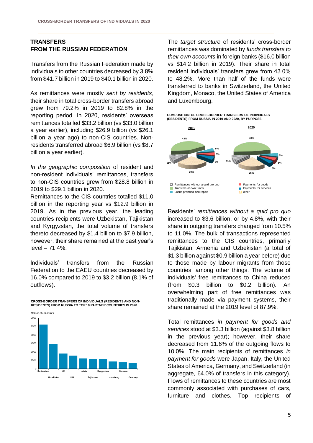## **TRANSFERS FROM THE RUSSIAN FEDERATION**

Transfers from the Russian Federation made by individuals to other countries decreased by 3.8% from \$41.7 billion in 2019 to \$40.1 billion in 2020.

As remittances were mostly *sent by residents*, their share in total cross-border transfers abroad grew from 79.2% in 2019 to 82.8% in the reporting period. In 2020, residents' overseas remittances totalled \$33.2 billion (vs \$33.0 billion a year earlier), including \$26.9 billion (vs \$26.1 billion a year ago) to non-CIS countries. Nonresidents transferred abroad \$6.9 billion (vs \$8.7 billion a year earlier).

*In the geographic composition* of resident and non-resident individuals' remittances, transfers to non-CIS countries grew from \$28.8 billion in 2019 to \$29.1 billion in 2020.

Remittances to the CIS countries totalled \$11.0 billion in the reporting year vs \$12.9 billion in 2019. As in the previous year, the leading countries recipients were Uzbekistan, Tajikistan and Kyrgyzstan, the total volume of transfers thereto decreased by \$1.4 billion to \$7.9 billion, however, their share remained at the past year's level – 71.4%.

Individuals' transfers from the Russian Federation to the EAEU countries decreased by 16.0% compared to 2019 to \$3.2 billion (8.1% of outflows).

**CROSS-BORDER TRANSFERS OF INDIVIDUALS (RESIDENTS AND NON-RESIDENTS) FROM RUSSIA TO TOP 10 PARTNER COUNTRIES IN 2020**



The *target structure* of residents' cross-border remittances was dominated by *funds transfers to their own accounts* in foreign banks (\$16.0 billion vs \$14.2 billion in 2019). Their share in total resident individuals' transfers grew from 43.0% to 48.2%. More than half of the funds were transferred to banks in Switzerland, the United Kingdom, Monaco, the United States of America and Luxembourg.

**COMPOSITION OF CROSS-BORDER TRANSFERS OF INDIVIDUALS (RESIDENTS) FROM RUSSIA IN 2019 AND 2020, BY PURPOSE**



Residents' *remittances without a quid pro quo* increased to \$3.6 billion, or by 4.8%, with their share in outgoing transfers changed from 10.5% to 11.0%. The bulk of transactions represented remittances to the CIS countries, primarily Tajikistan, Armenia and Uzbekistan (a total of \$1.3 billion against \$0.9 billion a year before) due to those made by labour migrants from those countries, among other things. The volume of individuals' free remittances to China reduced (from \$0.3 billion to \$0.2 billion). An overwhelming part of free remittances was traditionally made via payment systems, their share remained at the 2019 level of 87.9%.

Total remittances *in payment for goods and services* stood at \$3.3 billion (against \$3.8 billion in the previous year); however, their share decreased from 11.6% of the outgoing flows to 10.0%. The main recipients of remittances *in payment for goods* were Japan, Italy, the United States of America, Germany, and Switzerland (in agaregate, 64.0% of transfers in this category). Flows of remittances to these countries are most commonly associated with purchases of cars, furniture and clothes. Top recipients of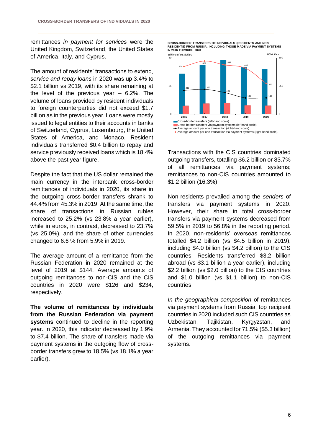remittances *in payment for services* were the United Kingdom, Switzerland, the United States of America, Italy, and Cyprus.

The amount of residents' transactions to extend, *service and repay loans* in 2020 was up 3.4% to \$2.1 billion vs 2019, with its share remaining at the level of the previous year  $-6.2\%$ . The volume of loans provided by resident individuals to foreign counterparties did not exceed \$1.7 billion as in the previous year. Loans were mostly issued to legal entities to their accounts in banks of Switzerland, Cyprus, Luxembourg, the United States of America, and Monaco. Resident individuals transferred \$0.4 billion to repay and service previously received loans which is 18.4% above the past year figure.

Despite the fact that the US dollar remained the main currency in the interbank cross-border remittances of individuals in 2020, its share in the outgoing cross-border transfers shrank to 44.4% from 45.3% in 2019. At the same time, the share of transactions in Russian rubles increased to 25.2% (vs 23.8% a year earlier), while in euros, in contrast, decreased to 23.7% (vs 25.0%), and the share of other currencies changed to 6.6 % from 5.9% in 2019.

The average amount of a remittance from the Russian Federation in 2020 remained at the level of 2019 at \$144. Average amounts of outgoing remittances to non-CIS and the CIS countries in 2020 were \$126 and \$234, respectively.

**The volume of remittances by individuals from the Russian Federation via payment systems** continued to decline in the reporting year. In 2020, this indicator decreased by 1.9% to \$7.4 billion. The share of transfers made via payment systems in the outgoing flow of crossborder transfers grew to 18.5% (vs 18.1% a year earlier).

**CROSS-BORDER TRANSFERS OF INDIVIDUALS (RESIDENTS AND NON-RESIDENTS) FROM RUSSIA, INCLUDING THOSE MADE VIA PAYMENT SYSTEMS IN 2016 THROUGH 2020**



Transactions with the CIS countries dominated outgoing transfers, totalling \$6.2 billion or 83.7% of all remittances via payment systems; remittances to non-CIS countries amounted to \$1.2 billion (16.3%).

Non-residents prevailed among the *senders* of transfers via payment systems in 2020. However, their share in total cross-border transfers via payment systems decreased from 59.5% in 2019 to 56.8% in the reporting period. In 2020, non-residents' overseas remittances totalled \$4.2 billion (vs \$4.5 billion in 2019), including \$4.0 billion (vs \$4.2 billion) to the CIS countries. Residents transferred \$3.2 billion abroad (vs \$3.1 billion a year earlier), including \$2.2 billion (vs \$2.0 billion) to the CIS countries and \$1.0 billion (vs \$1.1 billion) to non-CIS countries.

*In the geographical composition* of remittances via payment systems from Russia, top recipient countries in 2020 included such CIS countries as Uzbekistan, Tajikistan, Kyrgyzstan, and Armenia. They accounted for 71.5% (\$5.3 billion) of the outgoing remittances via payment systems.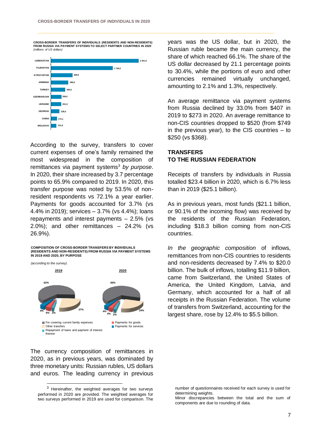**CROSS-BORDER TRANSFERS OF INDIVIDUALS (RESIDENTS AND NON-RESIDENTS) FROM RUSSIA VIA PAYMENT SYSTEMS TO SELECT PARTNER COUNTRIES IN 2020** *(millions of US dollars)*



According to the survey, transfers to cover current expenses of one's family remained the most widespread in the composition of remittances via payment systems<sup>3</sup> by purpose. In 2020, their share increased by 3.7 percentage points to 65.9% compared to 2019. In 2020, this transfer purpose was noted by 53.5% of nonresident respondents vs 72.1% a year earlier. Payments for goods accounted for 3.7% (vs 4.4% in 2019); services – 3.7% (vs 4.4%); loans repayments and interest payments – 2.5% (vs 2.0%); and other remittances – 24.2% (vs 26.9%).

## **COMPOSITION OF CROSS-BORDER TRANSFERS BY INDIVIDUALS (RESIDENTS AND NON-RESIDENTS) FROM RUSSIA VIA PAYMENT SYSTEMS IN 2019 AND 2020, BY PURPOSE**

*(according to the survey)*

l



The currency composition of remittances in 2020, as in previous years, was dominated by three monetary units: Russian rubles, US dollars and euros. The leading currency in previous

years was the US dollar, but in 2020, the Russian ruble became the main currency, the share of which reached 66.1%. The share of the US dollar decreased by 21.1 percentage points to 30.4%, while the portions of euro and other currencies remained virtually unchanged, amounting to 2.1% and 1.3%, respectively.

An average remittance via payment systems from Russia declined by 33.0% from \$407 in 2019 to \$273 in 2020. An average remittance to non-CIS countries dropped to \$520 (from \$749 in the previous year), to the CIS countries – to \$250 (vs \$368).

## **TRANSFERS TO THE RUSSIAN FEDERATION**

Receipts of transfers by individuals in Russia totalled \$23.4 billion in 2020, which is 6.7% less than in 2019 (\$25.1 billion).

As in previous years, most funds (\$21.1 billion, or 90.1% of the incoming flow) was received by the residents of the Russian Federation, including \$18.3 billion coming from non-CIS countries.

*In the geographic composition* of inflows, remittances from non-CIS countries to residents and non-residents decreased by 7.4% to \$20.0 billion. The bulk of inflows, totalling \$11.9 billion, came from Switzerland, the United States of America, the United Kingdom, Latvia, and Germany, which accounted for a half of all receipts in the Russian Federation. The volume of transfers from Switzerland, accounting for the largest share, rose by 12.4% to \$5.5 billion.

 $3$  Hereinafter, the weighted averages for two surveys performed in 2020 are provided. The weighted averages for two surveys performed in 2019 are used for comparison. The

number of questionnaires received for each survey is used for determining weights.

Minor discrepancies between the total and the sum of components are due to rounding of data.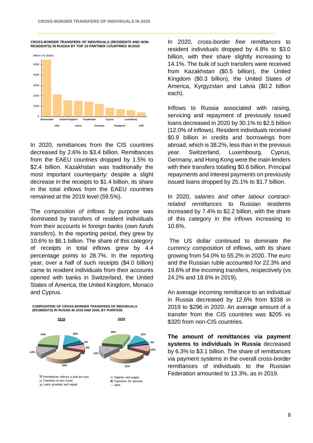**CROSS-BORDER TRANSFERS OF INDIVIDUALS (RESIDENTS AND NON-RESIDENTS) IN RUSSIA BY TOP 10 PARTNER COUNTRIES IN 2020**



In 2020, remittances from the CIS countries decreased by 2.6% to \$3.4 billion. Remittances from the EAEU countries dropped by 1.5% to \$2.4 billion. Kazakhstan was traditionally the most important counterparty: despite a slight decrease in the receipts to \$1.4 billion, its share in the total inflows from the EAEU countries remained at the 2019 level (59.5%).

The *composition of inflows by purpose* was dominated by transfers of resident individuals from their accounts in foreign banks (*own funds transfers*). In the reporting period, they grew by 10.6% to \$6.1 billion. The share of this category of receipts in total inflows grew by 4.4 percentage points to 28.7%. In the reporting year, over a half of such receipts (\$4.0 billion) came to resident individuals from their accounts opened with banks in Switzerland, the United States of America, the United Kingdom, Monaco and Cyprus.



In 2020, cross-border *free remittances* to resident individuals dropped by 4.8% to \$3.0 billion, with their share slightly increasing to 14.1%. The bulk of such transfers were received from Kazakhstan (\$0.5 billion), the United Kingdom (\$0.3 billion), the United States of America, Kyrgyzstan and Latvia (\$0.2 billion each).

Inflows to Russia associated with raising, servicing and repayment of previously issued loans decreased in 2020 by 30.1% to \$2.5 billion (12.0% of inflows). Resident individuals received \$0.9 billion in credits and borrowings from abroad, which is 38.2%, less than in the previous year. Switzerland, Luxembourg, Cyprus, Germany, and Hong Kong were the main lenders with their transfers totalling \$0.6 billion. Principal repayments and interest payments on previously issued loans dropped by 25.1% to \$1.7 billion.

In 2020, *salaries and other labour contractrelated remittances* to Russian residents increased by 7.4% to \$2.2 billion, with the share of this category in the inflows increasing to 10.6%.

The US dollar continued to dominate *the currency composition* of inflows, with its share growing from 54.0% to 55.2% in 2020. The euro and the Russian ruble accounted for 22.3% and 19.6% of the incoming transfers, respectively (vs 24.2% and 18.6% in 2019).

An average incoming remittance to an individual in Russia decreased by 12.6% from \$338 in 2019 to \$296 in 2020. An average amount of a transfer from the CIS countries was \$205 vs \$320 from non-CIS countries.

**The amount of remittances via payment systems to individuals in Russia** decreased by 6.3% to \$3.1 billion. The share of remittances via payment systems in the overall cross-border remittances of individuals to the Russian Federation amounted to 13.3%, as in 2019.